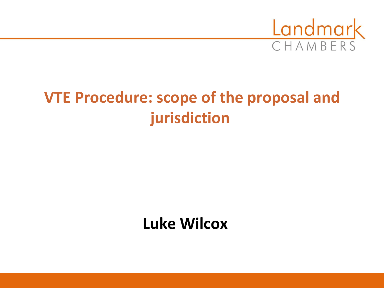

# **VTE Procedure: scope of the proposal and jurisdiction**

## **Luke Wilcox**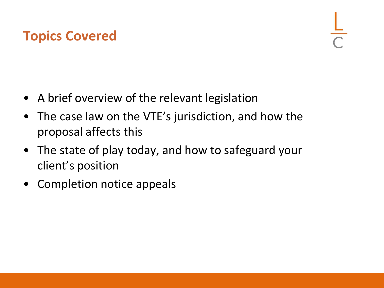### **Topics Covered**

- A brief overview of the relevant legislation
- The case law on the VTE's jurisdiction, and how the proposal affects this
- The state of play today, and how to safeguard your client's position
- Completion notice appeals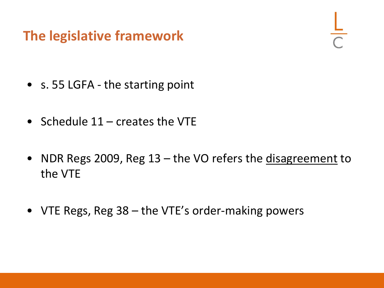### **The legislative framework**

- s. 55 LGFA the starting point
- Schedule 11 creates the VTE
- NDR Regs 2009, Reg 13 the VO refers the disagreement to the VTE
- VTE Regs, Reg 38 the VTE's order-making powers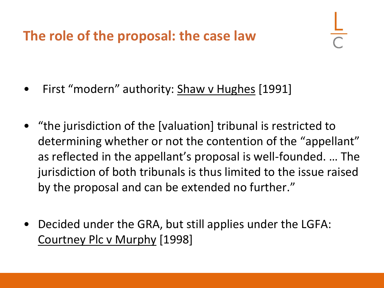**The role of the proposal: the case law**

- First "modern" authority: Shaw v Hughes [1991]
- "the jurisdiction of the [valuation] tribunal is restricted to determining whether or not the contention of the "appellant" as reflected in the appellant's proposal is well-founded. … The jurisdiction of both tribunals is thus limited to the issue raised by the proposal and can be extended no further."
- Decided under the GRA, but still applies under the LGFA: Courtney Plc v Murphy [1998]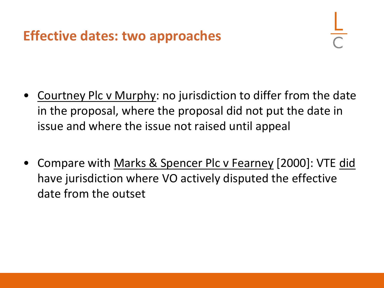- Courtney Plc v Murphy: no jurisdiction to differ from the date in the proposal, where the proposal did not put the date in issue and where the issue not raised until appeal
- Compare with Marks & Spencer Plc v Fearney [2000]: VTE did have jurisdiction where VO actively disputed the effective date from the outset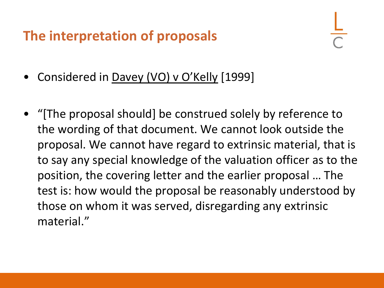#### **The interpretation of proposals**

- Considered in Davey (VO) v O'Kelly [1999]
- "[The proposal should] be construed solely by reference to the wording of that document. We cannot look outside the proposal. We cannot have regard to extrinsic material, that is to say any special knowledge of the valuation officer as to the position, the covering letter and the earlier proposal … The test is: how would the proposal be reasonably understood by those on whom it was served, disregarding any extrinsic material."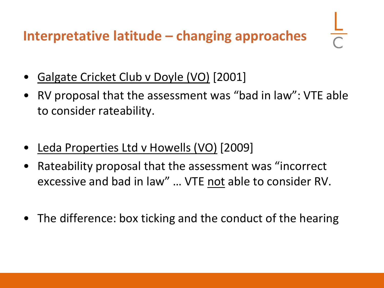**Interpretative latitude – changing approaches**

- Galgate Cricket Club v Doyle (VO) [2001]
- RV proposal that the assessment was "bad in law": VTE able to consider rateability.
- Leda Properties Ltd v Howells (VO) [2009]
- Rateability proposal that the assessment was "incorrect excessive and bad in law" … VTE not able to consider RV.
- The difference: box ticking and the conduct of the hearing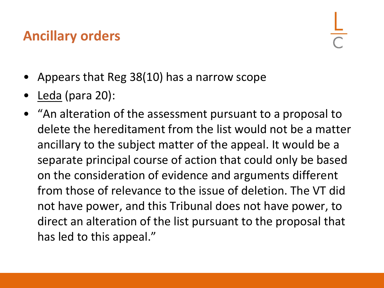#### **Ancillary orders**

- Appears that Reg 38(10) has a narrow scope
- Leda (para 20):
- "An alteration of the assessment pursuant to a proposal to delete the hereditament from the list would not be a matter ancillary to the subject matter of the appeal. It would be a separate principal course of action that could only be based on the consideration of evidence and arguments different from those of relevance to the issue of deletion. The VT did not have power, and this Tribunal does not have power, to direct an alteration of the list pursuant to the proposal that has led to this appeal."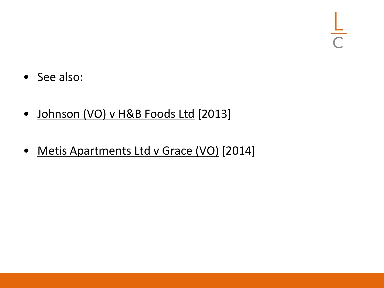- See also:
- Johnson (VO) v H&B Foods Ltd [2013]
- Metis Apartments Ltd v Grace (VO) [2014]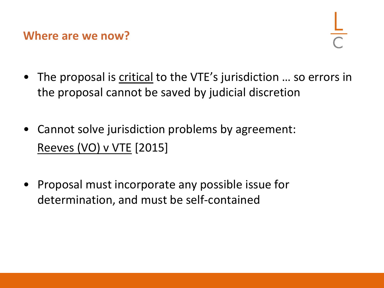**Where are we now?**

- The proposal is critical to the VTE's jurisdiction ... so errors in the proposal cannot be saved by judicial discretion
- Cannot solve jurisdiction problems by agreement: Reeves (VO) v VTE [2015]
- Proposal must incorporate any possible issue for determination, and must be self-contained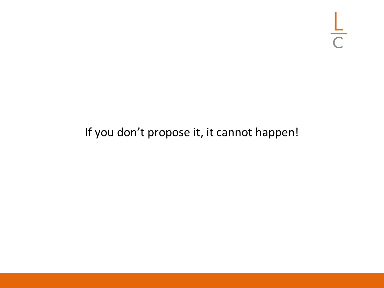$rac{L}{C}$ 

#### If you don't propose it, it cannot happen!